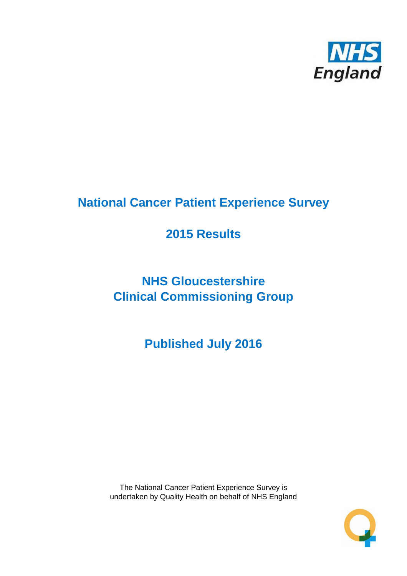

# **National Cancer Patient Experience Survey**

# **2015 Results**

# **NHS Gloucestershire Clinical Commissioning Group**

**Published July 2016**

The National Cancer Patient Experience Survey is undertaken by Quality Health on behalf of NHS England

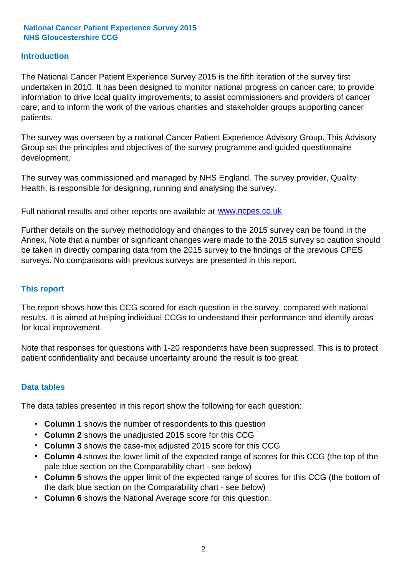#### **Introduction**

The National Cancer Patient Experience Survey 2015 is the fifth iteration of the survey first undertaken in 2010. It has been designed to monitor national progress on cancer care; to provide information to drive local quality improvements; to assist commissioners and providers of cancer care; and to inform the work of the various charities and stakeholder groups supporting cancer patients.

The survey was overseen by a national Cancer Patient Experience Advisory Group. This Advisory Group set the principles and objectives of the survey programme and guided questionnaire development.

The survey was commissioned and managed by NHS England. The survey provider, Quality Health, is responsible for designing, running and analysing the survey.

Full national results and other reports are available at www.ncpes.co.uk

Further details on the survey methodology and changes to the 2015 survey can be found in the Annex. Note that a number of significant changes were made to the 2015 survey so caution should be taken in directly comparing data from the 2015 survey to the findings of the previous CPES surveys. No comparisons with previous surveys are presented in this report.

#### **This report**

The report shows how this CCG scored for each question in the survey, compared with national results. It is aimed at helping individual CCGs to understand their performance and identify areas for local improvement.

Note that responses for questions with 1-20 respondents have been suppressed. This is to protect patient confidentiality and because uncertainty around the result is too great.

#### **Data tables**

The data tables presented in this report show the following for each question:

- **Column 1** shows the number of respondents to this question
- **Column 2** shows the unadjusted 2015 score for this CCG
- **Column 3** shows the case-mix adjusted 2015 score for this CCG
- **Column 4** shows the lower limit of the expected range of scores for this CCG (the top of the pale blue section on the Comparability chart - see below)
- **Column 5** shows the upper limit of the expected range of scores for this CCG (the bottom of the dark blue section on the Comparability chart - see below)
- **Column 6** shows the National Average score for this question.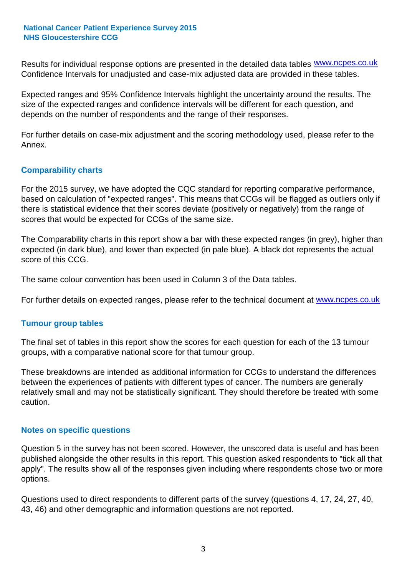Results for individual response options are presented in the detailed data tables **WWW.ncpes.co.uk** Confidence Intervals for unadjusted and case-mix adjusted data are provided in these tables.

Expected ranges and 95% Confidence Intervals highlight the uncertainty around the results. The size of the expected ranges and confidence intervals will be different for each question, and depends on the number of respondents and the range of their responses.

For further details on case-mix adjustment and the scoring methodology used, please refer to the Annex.

#### **Comparability charts**

For the 2015 survey, we have adopted the CQC standard for reporting comparative performance, based on calculation of "expected ranges". This means that CCGs will be flagged as outliers only if there is statistical evidence that their scores deviate (positively or negatively) from the range of scores that would be expected for CCGs of the same size.

The Comparability charts in this report show a bar with these expected ranges (in grey), higher than expected (in dark blue), and lower than expected (in pale blue). A black dot represents the actual score of this CCG.

The same colour convention has been used in Column 3 of the Data tables.

For further details on expected ranges, please refer to the technical document at **www.ncpes.co.uk** 

#### **Tumour group tables**

The final set of tables in this report show the scores for each question for each of the 13 tumour groups, with a comparative national score for that tumour group.

These breakdowns are intended as additional information for CCGs to understand the differences between the experiences of patients with different types of cancer. The numbers are generally relatively small and may not be statistically significant. They should therefore be treated with some caution.

#### **Notes on specific questions**

Question 5 in the survey has not been scored. However, the unscored data is useful and has been published alongside the other results in this report. This question asked respondents to "tick all that apply". The results show all of the responses given including where respondents chose two or more options.

Questions used to direct respondents to different parts of the survey (questions 4, 17, 24, 27, 40, 43, 46) and other demographic and information questions are not reported.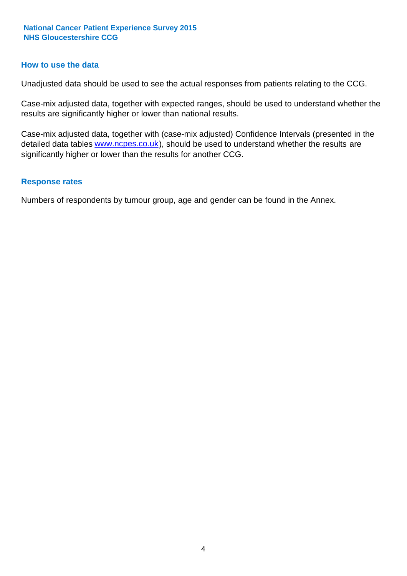#### **How to use the data**

Unadjusted data should be used to see the actual responses from patients relating to the CCG.

Case-mix adjusted data, together with expected ranges, should be used to understand whether the results are significantly higher or lower than national results.

Case-mix adjusted data, together with (case-mix adjusted) Confidence Intervals (presented in the detailed data tables **www.ncpes.co.uk**), should be used to understand whether the results are significantly higher or lower than the results for another CCG.

#### **Response rates**

Numbers of respondents by tumour group, age and gender can be found in the Annex.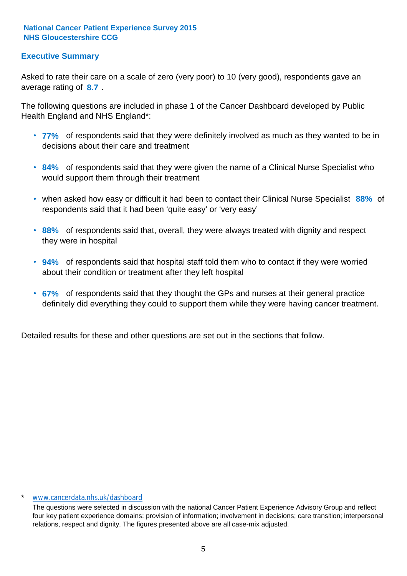#### **Executive Summary**

average rating of 8.7. Asked to rate their care on a scale of zero (very poor) to 10 (very good), respondents gave an

The following questions are included in phase 1 of the Cancer Dashboard developed by Public Health England and NHS England\*:

- **77%** of respondents said that they were definitely involved as much as they wanted to be in decisions about their care and treatment
- **84%** of respondents said that they were given the name of a Clinical Nurse Specialist who would support them through their treatment
- when asked how easy or difficult it had been to contact their Clinical Nurse Specialist 88% of respondents said that it had been 'quite easy' or 'very easy'
- **88%** of respondents said that, overall, they were always treated with dignity and respect they were in hospital
- **94%** of respondents said that hospital staff told them who to contact if they were worried about their condition or treatment after they left hospital
- **67%** of respondents said that they thought the GPs and nurses at their general practice definitely did everything they could to support them while they were having cancer treatment.

Detailed results for these and other questions are set out in the sections that follow.

#### \* www.cancerdata.nhs.uk/dashboard

The questions were selected in discussion with the national Cancer Patient Experience Advisory Group and reflect four key patient experience domains: provision of information; involvement in decisions; care transition; interpersonal relations, respect and dignity. The figures presented above are all case-mix adjusted.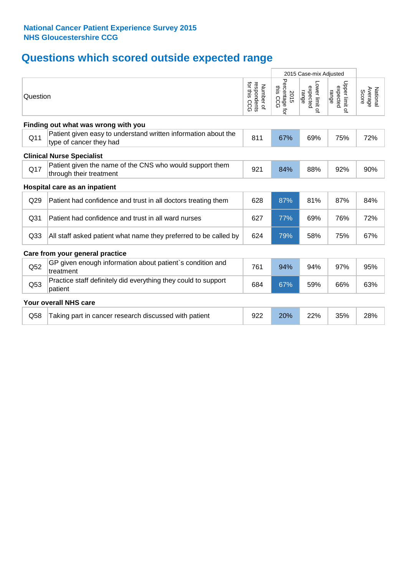# **Questions which scored outside expected range**

|                 |                                                                                           |                                          | 2015 Case-mix Adjusted                |                                     |                                     |                              |
|-----------------|-------------------------------------------------------------------------------------------|------------------------------------------|---------------------------------------|-------------------------------------|-------------------------------------|------------------------------|
| Question        |                                                                                           | respondents<br>for this CCG<br>Number of | Percentage for<br>inis<br>2015<br>CCG | Lower limit of<br>expected<br>range | Upper limit of<br>expected<br>range | Average<br>National<br>Score |
|                 | Finding out what was wrong with you                                                       |                                          |                                       |                                     |                                     |                              |
| Q11             | Patient given easy to understand written information about the<br>type of cancer they had | 811                                      | 67%                                   | 69%                                 | 75%                                 | 72%                          |
|                 | <b>Clinical Nurse Specialist</b>                                                          |                                          |                                       |                                     |                                     |                              |
| Q17             | Patient given the name of the CNS who would support them<br>through their treatment       | 921                                      | 84%                                   | 88%                                 | 92%                                 | 90%                          |
|                 | Hospital care as an inpatient                                                             |                                          |                                       |                                     |                                     |                              |
| Q <sub>29</sub> | Patient had confidence and trust in all doctors treating them                             | 628                                      | 87%                                   | 81%                                 | 87%                                 | 84%                          |
| Q <sub>31</sub> | Patient had confidence and trust in all ward nurses                                       | 627                                      | 77%                                   | 69%                                 | 76%                                 | 72%                          |
| Q <sub>33</sub> | All staff asked patient what name they preferred to be called by                          | 624                                      | 79%                                   | 58%                                 | 75%                                 | 67%                          |
|                 | Care from your general practice                                                           |                                          |                                       |                                     |                                     |                              |
| Q52             | GP given enough information about patient's condition and<br>treatment                    | 761                                      | 94%                                   | 94%                                 | 97%                                 | 95%                          |
| Q53             | Practice staff definitely did everything they could to support<br>patient                 | 684                                      | 67%                                   | 59%                                 | 66%                                 | 63%                          |
|                 | Your overall NHS care                                                                     |                                          |                                       |                                     |                                     |                              |
| Q58             | Taking part in cancer research discussed with patient                                     | 922                                      | 20%                                   | 22%                                 | 35%                                 | 28%                          |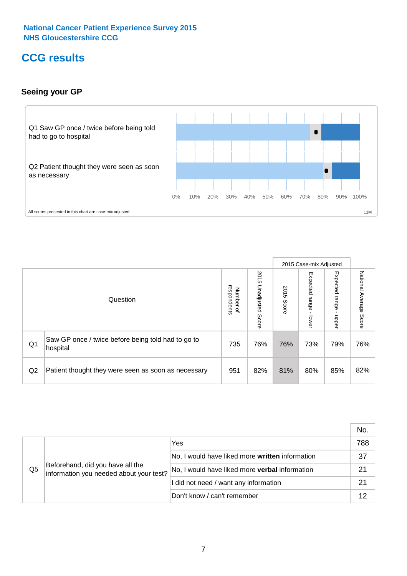# **CCG results**

#### **Seeing your GP**



|    |                                                                |                                              |                             |               | 2015 Case-mix Adjusted     |                            |                           |
|----|----------------------------------------------------------------|----------------------------------------------|-----------------------------|---------------|----------------------------|----------------------------|---------------------------|
|    | Question                                                       | respondents<br>Number<br>$\overline{\sigma}$ | 2015<br>Unadjusted<br>Score | 2015<br>Score | Expected<br>range<br>lower | Expected<br>range<br>nbber | National Average<br>Score |
| Q1 | Saw GP once / twice before being told had to go to<br>hospital | 735                                          | 76%                         | 76%           | 73%                        | 79%                        | 76%                       |
| Q2 | Patient thought they were seen as soon as necessary            | 951                                          | 82%                         | 81%           | 80%                        | 85%                        | 82%                       |

|    |                                                                             |                                                 | No. |
|----|-----------------------------------------------------------------------------|-------------------------------------------------|-----|
|    | Beforehand, did you have all the<br>information you needed about your test? | Yes                                             | 788 |
|    |                                                                             | No, I would have liked more written information | 37  |
| Q5 |                                                                             | No, I would have liked more verbal information  | 21  |
|    |                                                                             | I did not need / want any information           | 21  |
|    |                                                                             | Don't know / can't remember                     |     |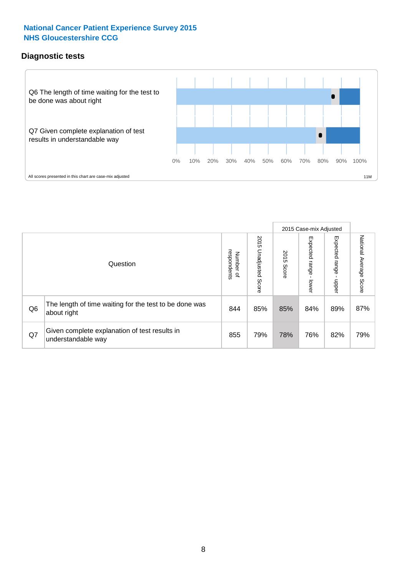### **Diagnostic tests**



|                |                                                                       |                                   |                             |               | 2015 Case-mix Adjusted  |                         |                           |
|----------------|-----------------------------------------------------------------------|-----------------------------------|-----------------------------|---------------|-------------------------|-------------------------|---------------------------|
|                | Question                                                              | respondents<br>Number<br>$\Omega$ | 2015<br>Unadjusted<br>Score | 2015<br>Score | Expected range<br>lower | Expected range<br>nbber | National Average<br>Score |
| Q <sub>6</sub> | The length of time waiting for the test to be done was<br>about right | 844                               | 85%                         | 85%           | 84%                     | 89%                     | 87%                       |
| Q7             | Given complete explanation of test results in<br>understandable way   | 855                               | 79%                         | 78%           | 76%                     | 82%                     | 79%                       |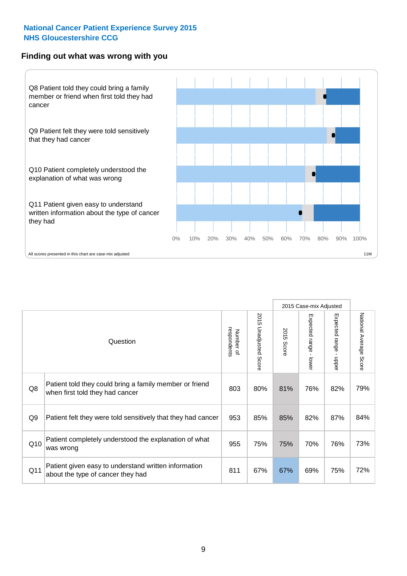#### **Finding out what was wrong with you**



|                |                                                                                            |                          |                             |               | 2015 Case-mix Adjusted                       |                        |                        |
|----------------|--------------------------------------------------------------------------------------------|--------------------------|-----------------------------|---------------|----------------------------------------------|------------------------|------------------------|
|                | Question                                                                                   | respondents<br>Number of | 2015<br>Unadjusted<br>Score | 2015<br>Score | Expected<br>I range<br>$\mathbf{r}$<br>lower | Expected range - upper | National Average Score |
| Q8             | Patient told they could bring a family member or friend<br>when first told they had cancer | 803                      | 80%                         | 81%           | 76%                                          | 82%                    | 79%                    |
| Q <sub>9</sub> | Patient felt they were told sensitively that they had cancer                               | 953                      | 85%                         | 85%           | 82%                                          | 87%                    | 84%                    |
| Q10            | Patient completely understood the explanation of what<br>was wrong                         | 955                      | 75%                         | 75%           | 70%                                          | 76%                    | 73%                    |
| Q11            | Patient given easy to understand written information<br>about the type of cancer they had  | 811                      | 67%                         | 67%           | 69%                                          | 75%                    | 72%                    |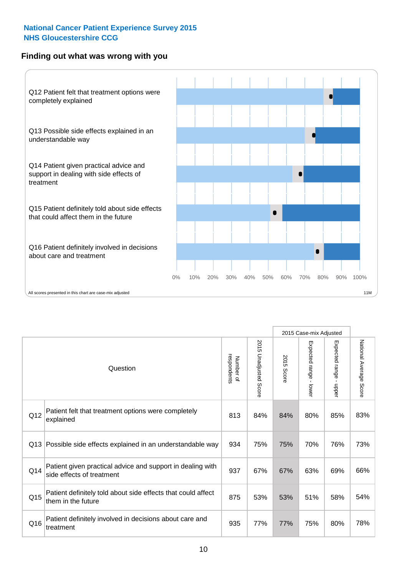#### **Finding out what was wrong with you**



|          |                                                                                         |                          |                          |               | 2015 Case-mix Adjusted                  |                           |                        |
|----------|-----------------------------------------------------------------------------------------|--------------------------|--------------------------|---------------|-----------------------------------------|---------------------------|------------------------|
| Question |                                                                                         | Number of<br>respondents | 2015<br>Unadjusted Score | 2015<br>Score | Expected range<br>$\mathbf{r}$<br>lower | Expected range -<br>nbber | National Average Score |
| Q12      | Patient felt that treatment options were completely<br>explained                        | 813                      | 84%                      | 84%           | 80%                                     | 85%                       | 83%                    |
| Q13      | Possible side effects explained in an understandable way                                | 934                      | 75%                      | 75%           | 70%                                     | 76%                       | 73%                    |
| Q14      | Patient given practical advice and support in dealing with<br>side effects of treatment | 937                      | 67%                      | 67%           | 63%                                     | 69%                       | 66%                    |
| Q15      | Patient definitely told about side effects that could affect<br>them in the future      | 875                      | 53%                      | 53%           | 51%                                     | 58%                       | 54%                    |
| Q16      | Patient definitely involved in decisions about care and<br>treatment                    | 935                      | 77%                      | 77%           | 75%                                     | 80%                       | 78%                    |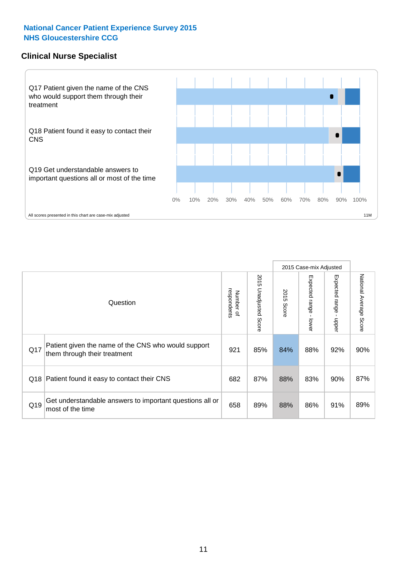#### **Clinical Nurse Specialist**



|     |                                                                                     |                          |                       | 2015 Case-mix Adjusted |                         |                         |                                  |
|-----|-------------------------------------------------------------------------------------|--------------------------|-----------------------|------------------------|-------------------------|-------------------------|----------------------------------|
|     | Question                                                                            | Number of<br>respondents | 2015 Unadjusted Score | 2015<br>Score          | Expected range<br>lower | Expected range<br>nbber | National Average<br><b>Score</b> |
| Q17 | Patient given the name of the CNS who would support<br>them through their treatment | 921                      | 85%                   | 84%                    | 88%                     | 92%                     | 90%                              |
| Q18 | Patient found it easy to contact their CNS                                          | 682                      | 87%                   | 88%                    | 83%                     | 90%                     | 87%                              |
| Q19 | Get understandable answers to important questions all or<br>most of the time        | 658                      | 89%                   | 88%                    | 86%                     | 91%                     | 89%                              |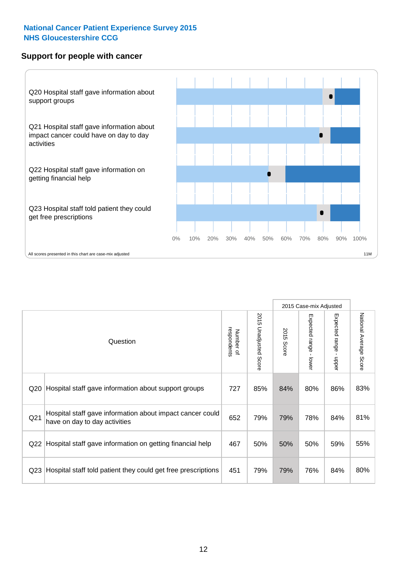#### **Support for people with cancer**



|                 |                                                                                            |                          |                                 |               | 2015 Case-mix Adjusted                    |                                         |                        |
|-----------------|--------------------------------------------------------------------------------------------|--------------------------|---------------------------------|---------------|-------------------------------------------|-----------------------------------------|------------------------|
|                 | Question                                                                                   | respondents<br>Number of | 2015<br><b>Unadjusted Score</b> | 2015<br>Score | Expected range<br>$\blacksquare$<br>lower | Expected range<br>$\mathbf{I}$<br>nbber | National Average Score |
| Q20             | Hospital staff gave information about support groups                                       | 727                      | 85%                             | 84%           | 80%                                       | 86%                                     | 83%                    |
| Q21             | Hospital staff gave information about impact cancer could<br>have on day to day activities | 652                      | 79%                             | 79%           | 78%                                       | 84%                                     | 81%                    |
| Q22             | Hospital staff gave information on getting financial help                                  | 467                      | 50%                             | 50%           | 50%                                       | 59%                                     | 55%                    |
| Q <sub>23</sub> | Hospital staff told patient they could get free prescriptions                              | 451                      | 79%                             | 79%           | 76%                                       | 84%                                     | 80%                    |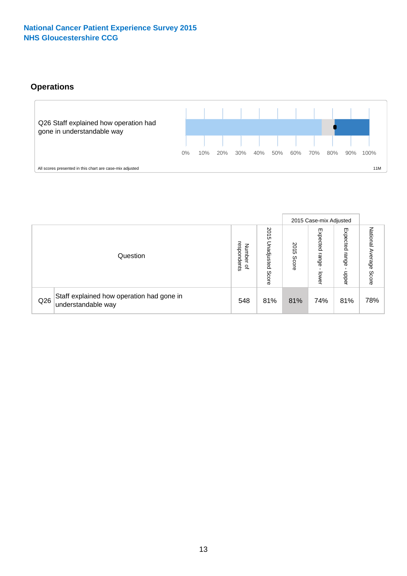### **Operations**



|     |                                                                 |                                              |                             | 2015 Case-mix Adjusted |                            |                           |                              |
|-----|-----------------------------------------------------------------|----------------------------------------------|-----------------------------|------------------------|----------------------------|---------------------------|------------------------------|
|     | Question                                                        | respondents<br>Number<br>$\overline{\sigma}$ | 2015<br>Unadjusted<br>Score | 2015<br>Score          | Expected<br>range<br>lower | Expected<br>range<br>dddn | National<br>Average<br>Score |
| Q26 | Staff explained how operation had gone in<br>understandable way | 548                                          | 81%                         | 81%                    | 74%                        | 81%                       | 78%                          |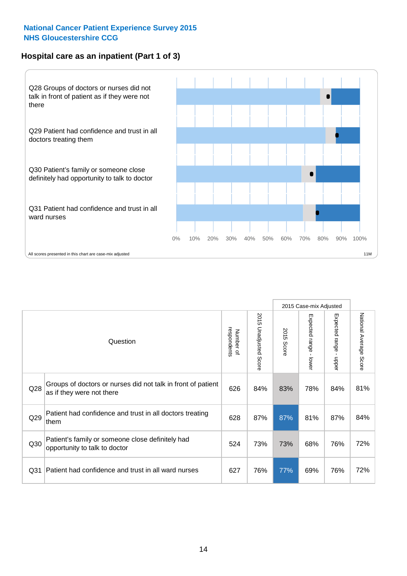#### **Hospital care as an inpatient (Part 1 of 3)**



All scores presented in this chart are case-mix adjusted  $11M$ 

|                 |                                                                                           |                          |                                 |                      | 2015 Case-mix Adjusted                  |                                         |                        |
|-----------------|-------------------------------------------------------------------------------------------|--------------------------|---------------------------------|----------------------|-----------------------------------------|-----------------------------------------|------------------------|
|                 | Question                                                                                  | respondents<br>Number of | 2015<br><b>Unadjusted Score</b> | 2015<br><b>Score</b> | Expected range<br>$\mathbf{r}$<br>lower | Expected range<br>$\mathbf{I}$<br>nbber | National Average Score |
| Q28             | Groups of doctors or nurses did not talk in front of patient<br>as if they were not there | 626                      | 84%                             | 83%                  | 78%                                     | 84%                                     | 81%                    |
| Q29             | Patient had confidence and trust in all doctors treating<br>them                          | 628                      | 87%                             | 87%                  | 81%                                     | 87%                                     | 84%                    |
| Q30             | Patient's family or someone close definitely had<br>opportunity to talk to doctor         | 524                      | 73%                             | 73%                  | 68%                                     | 76%                                     | 72%                    |
| Q <sub>31</sub> | Patient had confidence and trust in all ward nurses                                       | 627                      | 76%                             | 77%                  | 69%                                     | 76%                                     | 72%                    |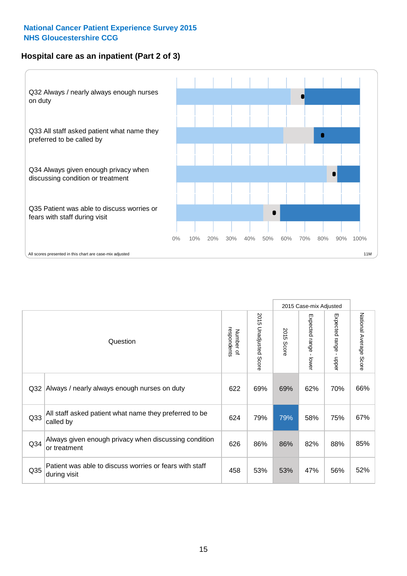#### **Hospital care as an inpatient (Part 2 of 3)**



|                 |                                                                         |                          |                          |               | 2015 Case-mix Adjusted                  |                                           |                        |
|-----------------|-------------------------------------------------------------------------|--------------------------|--------------------------|---------------|-----------------------------------------|-------------------------------------------|------------------------|
|                 | Question                                                                | respondents<br>Number of | 2015<br>Unadjusted Score | 2015<br>Score | Expected range<br>$\mathbf{I}$<br>lower | Expected range<br>$\blacksquare$<br>nbber | National Average Score |
| Q <sub>32</sub> | Always / nearly always enough nurses on duty                            | 622                      | 69%                      | 69%           | 62%                                     | 70%                                       | 66%                    |
| Q <sub>33</sub> | All staff asked patient what name they preferred to be<br>called by     | 624                      | 79%                      | 79%           | 58%                                     | 75%                                       | 67%                    |
| Q <sub>34</sub> | Always given enough privacy when discussing condition<br>or treatment   | 626                      | 86%                      | 86%           | 82%                                     | 88%                                       | 85%                    |
| Q35             | Patient was able to discuss worries or fears with staff<br>during visit | 458                      | 53%                      | 53%           | 47%                                     | 56%                                       | 52%                    |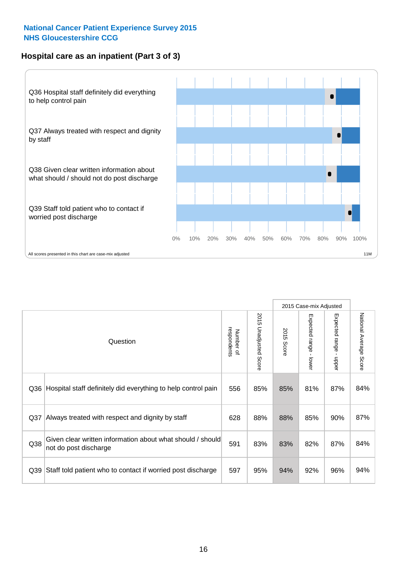#### **Hospital care as an inpatient (Part 3 of 3)**



|                 |                                                                                     |                          |                                 |               | 2015 Case-mix Adjusted                  |                           |                        |
|-----------------|-------------------------------------------------------------------------------------|--------------------------|---------------------------------|---------------|-----------------------------------------|---------------------------|------------------------|
|                 | Question                                                                            | respondents<br>Number of | 2015<br><b>Unadjusted Score</b> | 2015<br>Score | Expected range<br>$\mathbf{r}$<br>lower | Expected range -<br>nbber | National Average Score |
| Q36             | Hospital staff definitely did everything to help control pain                       | 556                      | 85%                             | 85%           | 81%                                     | 87%                       | 84%                    |
| Q <sub>37</sub> | Always treated with respect and dignity by staff                                    | 628                      | 88%                             | 88%           | 85%                                     | 90%                       | 87%                    |
| Q38             | Given clear written information about what should / should<br>not do post discharge | 591                      | 83%                             | 83%           | 82%                                     | 87%                       | 84%                    |
| Q39             | Staff told patient who to contact if worried post discharge                         | 597                      | 95%                             | 94%           | 92%                                     | 96%                       | 94%                    |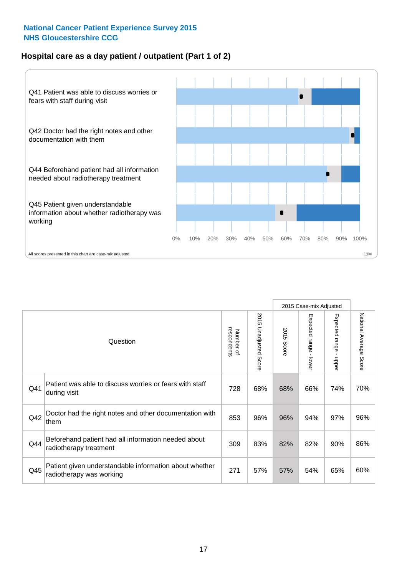#### **Hospital care as a day patient / outpatient (Part 1 of 2)**



|     |                                                                                    |                          |                                 |               | 2015 Case-mix Adjusted                  |                           |                        |
|-----|------------------------------------------------------------------------------------|--------------------------|---------------------------------|---------------|-----------------------------------------|---------------------------|------------------------|
|     | Question                                                                           | Number of<br>respondents | 2015<br><b>Unadjusted Score</b> | 2015<br>Score | Expected range<br>$\mathbf{r}$<br>lower | Expected range -<br>nbber | National Average Score |
| Q41 | Patient was able to discuss worries or fears with staff<br>during visit            | 728                      | 68%                             | 68%           | 66%                                     | 74%                       | 70%                    |
| Q42 | Doctor had the right notes and other documentation with<br>them                    | 853                      | 96%                             | 96%           | 94%                                     | 97%                       | 96%                    |
| Q44 | Beforehand patient had all information needed about<br>radiotherapy treatment      | 309                      | 83%                             | 82%           | 82%                                     | 90%                       | 86%                    |
| Q45 | Patient given understandable information about whether<br>radiotherapy was working | 271                      | 57%                             | 57%           | 54%                                     | 65%                       | 60%                    |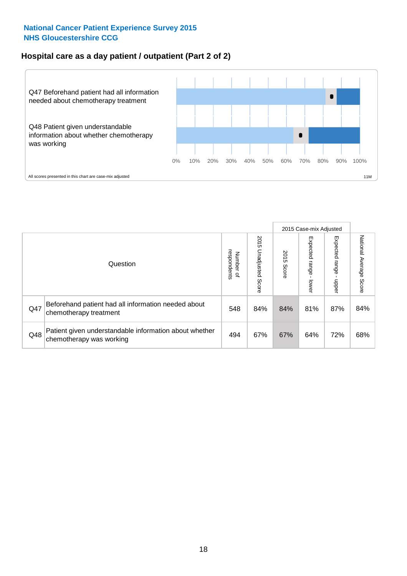#### **Hospital care as a day patient / outpatient (Part 2 of 2)**



|     |                                                                                    |                                       |                             |               |                              | 2015 Case-mix Adjusted  |                           |
|-----|------------------------------------------------------------------------------------|---------------------------------------|-----------------------------|---------------|------------------------------|-------------------------|---------------------------|
|     | Question                                                                           | respondents<br>Number<br>$\mathbf{Q}$ | 2015<br>Unadjusted<br>Score | 2015<br>Score | Expected<br>I range<br>lower | Expected range<br>nbber | National Average<br>Score |
| Q47 | Beforehand patient had all information needed about<br>chemotherapy treatment      | 548                                   | 84%                         | 84%           | 81%                          | 87%                     | 84%                       |
| Q48 | Patient given understandable information about whether<br>chemotherapy was working | 494                                   | 67%                         | 67%           | 64%                          | 72%                     | 68%                       |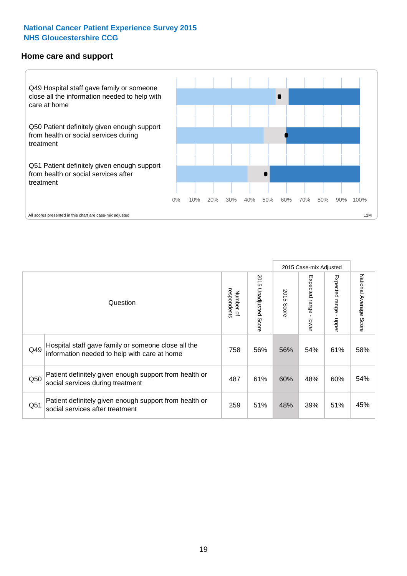#### **Home care and support**



2015 Case-mix Adjusted 2015 Unadjusted Score Expected range - upper National Average Score 2015 Unadjusted Score Expected range - lower National Average Score Expected range - lower Expected range - upper Number of<br>respondents respondents 2015 Score 2015 Score Number of Question Hospital staff gave family or someone close all the  $Q49$  information needed to help with care at home  $758$  56% 56% 54% 61% 58% Patient definitely given enough support from health or Q50 social services during treatment **487** 487 61% 60% 48% 60% 54% Patient definitely given enough support from health or Q51 social services after treatment examples and the call of the call of the social services after treatment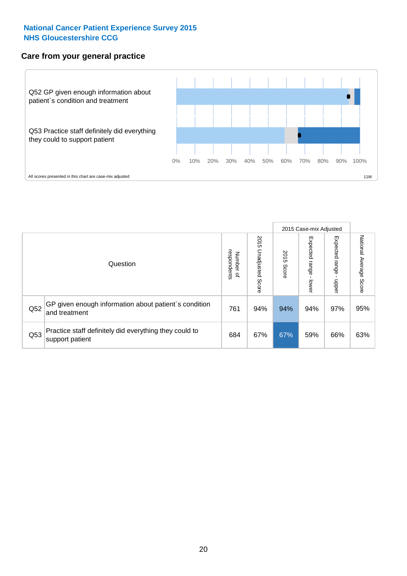#### **Care from your general practice**



|     |                                                                           |                                       |                             |               |                                    | 2015 Case-mix Adjusted  |                           |
|-----|---------------------------------------------------------------------------|---------------------------------------|-----------------------------|---------------|------------------------------------|-------------------------|---------------------------|
|     | Question                                                                  | respondents<br>Number<br>$\mathbf{Q}$ | 2015<br>Unadjusted<br>Score | 2015<br>Score | Expected<br><b>Irange</b><br>lower | Expected range<br>nbber | National Average<br>Score |
| Q52 | GP given enough information about patient's condition<br>and treatment    | 761                                   | 94%                         | 94%           | 94%                                | 97%                     | 95%                       |
| Q53 | Practice staff definitely did everything they could to<br>support patient | 684                                   | 67%                         | 67%           | 59%                                | 66%                     | 63%                       |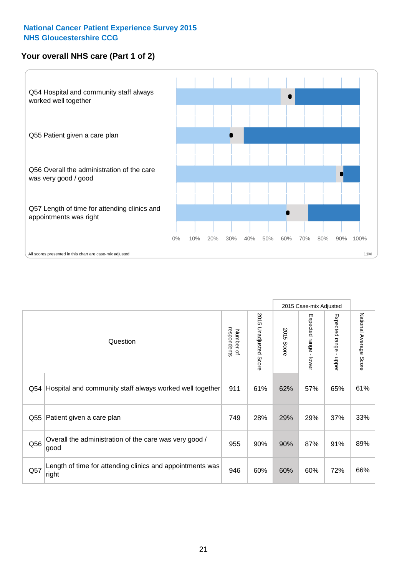#### **Your overall NHS care (Part 1 of 2)**



|     |                                                                    |                          |                                 |                      | 2015 Case-mix Adjusted  |                                           |                        |
|-----|--------------------------------------------------------------------|--------------------------|---------------------------------|----------------------|-------------------------|-------------------------------------------|------------------------|
|     | Question                                                           | respondents<br>Number of | 2015<br><b>Unadjusted Score</b> | 2015<br><b>Score</b> | Expected range<br>lower | Expected range<br>$\blacksquare$<br>nbber | National Average Score |
| Q54 | Hospital and community staff always worked well together           | 911                      | 61%                             | 62%                  | 57%                     | 65%                                       | 61%                    |
| Q55 | Patient given a care plan                                          | 749                      | 28%                             | 29%                  | 29%                     | 37%                                       | 33%                    |
| Q56 | Overall the administration of the care was very good /<br>good     | 955                      | 90%                             | 90%                  | 87%                     | 91%                                       | 89%                    |
| Q57 | Length of time for attending clinics and appointments was<br>right | 946                      | 60%                             | 60%                  | 60%                     | 72%                                       | 66%                    |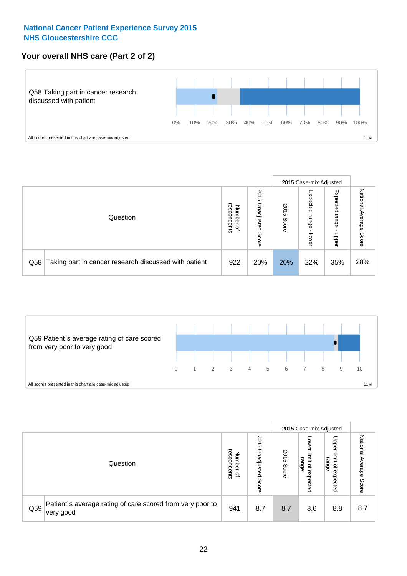#### **Your overall NHS care (Part 2 of 2)**



|     |                                                       |                                   |                             |               |                            | 2015 Case-mix Adjusted     |                           |
|-----|-------------------------------------------------------|-----------------------------------|-----------------------------|---------------|----------------------------|----------------------------|---------------------------|
|     | Question                                              | respondents<br>Number<br>$\Omega$ | 2015<br>Unadjusted<br>Score | 2015<br>Score | Expected<br>range<br>lower | Expected<br>range<br>doper | National<br>Average Score |
| Q58 | Taking part in cancer research discussed with patient | 922                               | 20%                         | 20%           | 22%                        | 35%                        | 28%                       |



|     |                                                                        |                                              |                             |               |                                         | 2015 Case-mix Adjusted                                |                              |
|-----|------------------------------------------------------------------------|----------------------------------------------|-----------------------------|---------------|-----------------------------------------|-------------------------------------------------------|------------------------------|
|     | Question                                                               | respondents<br>Number<br>$\overline{\sigma}$ | 2015<br>Jnadjusted<br>Score | 2015<br>Score | OWer<br>limit<br>range<br>٩<br>expected | Upper<br>limit<br>range<br>$\overline{a}$<br>expected | National<br>Average<br>Score |
| Q59 | Patient's average rating of care scored from very poor to<br>very good | 941                                          | 8.7                         | 8.7           | 8.6                                     | 8.8                                                   | 8.7                          |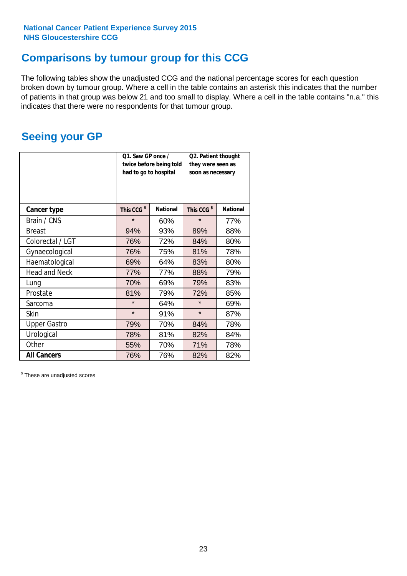### **Comparisons by tumour group for this CCG**

The following tables show the unadjusted CCG and the national percentage scores for each question broken down by tumour group. Where a cell in the table contains an asterisk this indicates that the number of patients in that group was below 21 and too small to display. Where a cell in the table contains "n.a." this indicates that there were no respondents for that tumour group.

### **Seeing your GP**

|                      | Q1. Saw GP once /<br>had to go to hospital | twice before being told | Q2. Patient thought<br>they were seen as<br>soon as necessary |                 |  |
|----------------------|--------------------------------------------|-------------------------|---------------------------------------------------------------|-----------------|--|
| <b>Cancer type</b>   | This CCG <sup>\$</sup>                     | <b>National</b>         | This CCG <sup>\$</sup>                                        | <b>National</b> |  |
| Brain / CNS          | $\star$                                    | 60%                     | $\star$                                                       | 77%             |  |
| <b>Breast</b>        | 94%                                        | 93%                     | 89%                                                           | 88%             |  |
| Colorectal / LGT     | 76%                                        | 72%                     | 84%                                                           | 80%             |  |
| Gynaecological       | 76%                                        | 75%                     | 81%                                                           | 78%             |  |
| Haematological       | 69%                                        | 64%                     | 83%                                                           | 80%             |  |
| <b>Head and Neck</b> | 77%                                        | 77%                     | 88%                                                           | 79%             |  |
| Lung                 | 70%                                        | 69%                     | 79%                                                           | 83%             |  |
| Prostate             | 81%                                        | 79%                     | 72%                                                           | 85%             |  |
| Sarcoma              | $\star$                                    | 64%                     | $\star$                                                       | 69%             |  |
| <b>Skin</b>          | $\star$                                    | 91%                     | $\star$                                                       | 87%             |  |
| <b>Upper Gastro</b>  | 79%                                        | 70%                     | 84%                                                           | 78%             |  |
| Urological           | 78%                                        | 81%                     | 82%                                                           | 84%             |  |
| Other                | 55%                                        | 70%                     | 71%                                                           | 78%             |  |
| <b>All Cancers</b>   | 76%                                        | 76%                     | 82%                                                           | 82%             |  |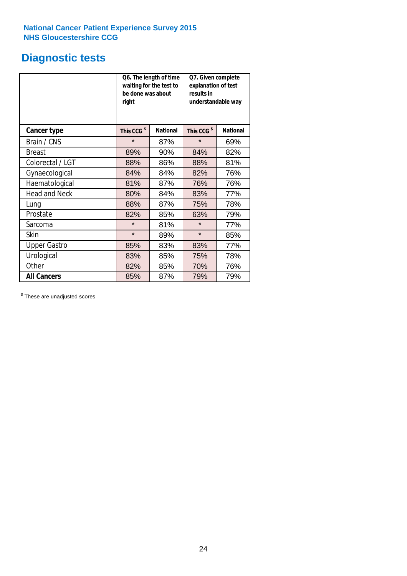### **Diagnostic tests**

|                      | be done was about<br>right | Q6. The length of time<br>waiting for the test to | Q7. Given complete<br>explanation of test<br>results in<br>understandable way |                 |  |  |
|----------------------|----------------------------|---------------------------------------------------|-------------------------------------------------------------------------------|-----------------|--|--|
| <b>Cancer type</b>   | This CCG <sup>\$</sup>     | <b>National</b>                                   | This CCG <sup>\$</sup>                                                        | <b>National</b> |  |  |
| Brain / CNS          | $\star$                    | 87%                                               | $\star$                                                                       | 69%             |  |  |
| <b>Breast</b>        | 89%                        | 90%                                               | 84%                                                                           | 82%             |  |  |
| Colorectal / LGT     | 88%                        | 86%                                               | 88%                                                                           | 81%             |  |  |
| Gynaecological       | 84%                        | 84%                                               | 82%                                                                           | 76%             |  |  |
| Haematological       | 81%                        | 87%                                               | 76%                                                                           | 76%             |  |  |
| <b>Head and Neck</b> | 80%                        | 84%                                               | 83%                                                                           | 77%             |  |  |
| Lung                 | 88%                        | 87%                                               | 75%                                                                           | 78%             |  |  |
| Prostate             | 82%                        | 85%                                               | 63%                                                                           | 79%             |  |  |
| Sarcoma              | $\star$                    | 81%                                               | $\star$                                                                       | 77%             |  |  |
| <b>Skin</b>          | $\star$                    | 89%                                               | $\star$                                                                       | 85%             |  |  |
| <b>Upper Gastro</b>  | 85%                        | 83%                                               | 83%                                                                           | 77%             |  |  |
| Urological           | 83%                        | 85%                                               | 75%                                                                           | 78%             |  |  |
| Other                | 82%                        | 85%                                               | 70%                                                                           | 76%             |  |  |
| <b>All Cancers</b>   | 85%                        | 87%                                               | 79%                                                                           | 79%             |  |  |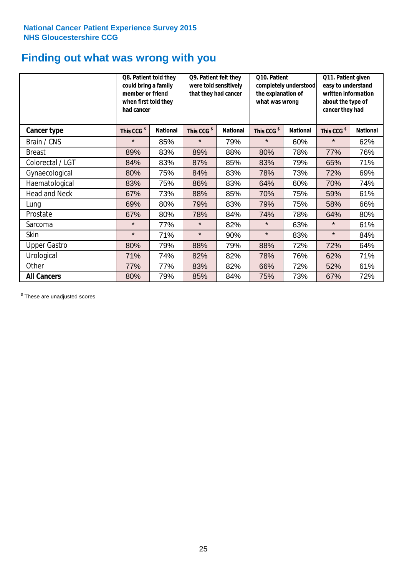### **Finding out what was wrong with you**

|                     | Q8. Patient told they<br>could bring a family<br>member or friend<br>when first told they<br>had cancer |                 | Q9. Patient felt they<br>were told sensitively<br>that they had cancer |                 | Q10. Patient<br>completely understood<br>the explanation of<br>what was wrong |                 | Q11. Patient given<br>easy to understand<br>written information<br>about the type of<br>cancer they had |                 |  |
|---------------------|---------------------------------------------------------------------------------------------------------|-----------------|------------------------------------------------------------------------|-----------------|-------------------------------------------------------------------------------|-----------------|---------------------------------------------------------------------------------------------------------|-----------------|--|
| Cancer type         | This CCG <sup>\$</sup>                                                                                  | <b>National</b> | This CCG <sup>\$</sup>                                                 | <b>National</b> | This CCG <sup>\$</sup>                                                        | <b>National</b> | This CCG <sup>\$</sup>                                                                                  | <b>National</b> |  |
| Brain / CNS         | $\star$                                                                                                 | 85%             | $\star$                                                                | 79%             | $\star$                                                                       | 60%             | $\star$                                                                                                 | 62%             |  |
| <b>Breast</b>       | 89%                                                                                                     | 83%             | 89%                                                                    | 88%             | 80%                                                                           | 78%             | 77%                                                                                                     | 76%             |  |
| Colorectal / LGT    | 84%                                                                                                     | 83%             | 87%                                                                    | 85%             | 83%                                                                           | 79%             | 65%                                                                                                     | 71%             |  |
| Gynaecological      | 80%                                                                                                     | 75%             | 84%                                                                    | 83%             | 78%                                                                           | 73%             | 72%                                                                                                     | 69%             |  |
| Haematological      | 83%                                                                                                     | 75%             | 86%                                                                    | 83%             | 64%                                                                           | 60%             | 70%                                                                                                     | 74%             |  |
| Head and Neck       | 67%                                                                                                     | 73%             | 88%                                                                    | 85%             | 70%                                                                           | 75%             | 59%                                                                                                     | 61%             |  |
| Lung                | 69%                                                                                                     | 80%             | 79%                                                                    | 83%             | 79%                                                                           | 75%             | 58%                                                                                                     | 66%             |  |
| Prostate            | 67%                                                                                                     | 80%             | 78%                                                                    | 84%             | 74%                                                                           | 78%             | 64%                                                                                                     | 80%             |  |
| Sarcoma             | $\star$                                                                                                 | 77%             | $\star$                                                                | 82%             | $\star$                                                                       | 63%             | $\star$                                                                                                 | 61%             |  |
| Skin                | $\star$                                                                                                 | 71%             | $\star$                                                                | 90%             | $\star$                                                                       | 83%             | $\star$                                                                                                 | 84%             |  |
| <b>Upper Gastro</b> | 80%                                                                                                     | 79%             | 88%                                                                    | 79%             | 88%                                                                           | 72%             | 72%                                                                                                     | 64%             |  |
| Urological          | 71%                                                                                                     | 74%             | 82%                                                                    | 82%             | 78%                                                                           | 76%             | 62%                                                                                                     | 71%             |  |
| Other               | 77%                                                                                                     | 77%             | 83%                                                                    | 82%             | 66%                                                                           | 72%             | 52%                                                                                                     | 61%             |  |
| <b>All Cancers</b>  | 80%                                                                                                     | 79%             | 85%                                                                    | 84%             | 75%                                                                           | 73%             | 67%                                                                                                     | 72%             |  |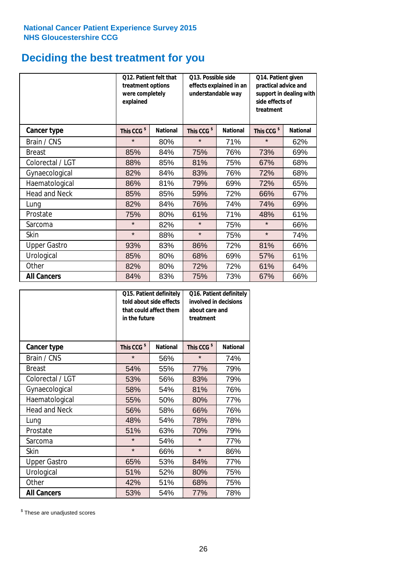# **Deciding the best treatment for you**

|                      | treatment options<br>were completely<br>explained | 012. Patient felt that | O13. Possible side<br>understandable way | effects explained in an | Q14. Patient given<br>practical advice and<br>support in dealing with<br>side effects of<br>treatment |                 |  |
|----------------------|---------------------------------------------------|------------------------|------------------------------------------|-------------------------|-------------------------------------------------------------------------------------------------------|-----------------|--|
| <b>Cancer type</b>   | This CCG <sup>\$</sup>                            | <b>National</b>        | This CCG <sup>\$</sup>                   | <b>National</b>         | This CCG <sup>\$</sup>                                                                                | <b>National</b> |  |
| Brain / CNS          | $\star$                                           | 80%                    | $\star$                                  | 71%                     | $\star$                                                                                               | 62%             |  |
| <b>Breast</b>        | 85%                                               | 84%                    | 75%                                      | 76%                     | 73%                                                                                                   | 69%             |  |
| Colorectal / LGT     | 88%                                               | 85%                    | 81%                                      | 75%                     | 67%                                                                                                   | 68%             |  |
| Gynaecological       | 82%                                               | 84%                    | 83%                                      | 76%                     | 72%                                                                                                   | 68%             |  |
| Haematological       | 86%                                               | 81%                    | 79%                                      | 69%                     | 72%                                                                                                   | 65%             |  |
| <b>Head and Neck</b> | 85%                                               | 85%                    | 59%                                      | 72%                     | 66%                                                                                                   | 67%             |  |
| Lung                 | 82%                                               | 84%                    | 76%                                      | 74%                     | 74%                                                                                                   | 69%             |  |
| Prostate             | 75%                                               | 80%                    | 61%                                      | 71%                     | 48%                                                                                                   | 61%             |  |
| Sarcoma              | $\star$                                           | 82%                    | $\star$                                  | 75%                     | $\star$                                                                                               | 66%             |  |
| Skin                 | $\star$                                           | 88%                    | $\star$                                  | 75%                     | $\star$                                                                                               | 74%             |  |
| <b>Upper Gastro</b>  | 93%                                               | 83%                    | 86%                                      | 72%                     | 81%                                                                                                   | 66%             |  |
| Urological           | 85%                                               | 80%                    | 68%                                      | 69%                     | 57%                                                                                                   | 61%             |  |
| Other                | 82%                                               | 80%                    | 72%                                      | 72%                     | 61%                                                                                                   | 64%             |  |
| <b>All Cancers</b>   | 84%                                               | 83%                    | 75%                                      | 73%                     | 67%                                                                                                   | 66%             |  |

|                      | in the future          | Q15. Patient definitely<br>told about side effects<br>that could affect them | Q16. Patient definitely<br>involved in decisions<br>about care and<br>treatment |                 |  |
|----------------------|------------------------|------------------------------------------------------------------------------|---------------------------------------------------------------------------------|-----------------|--|
| <b>Cancer type</b>   | This CCG <sup>\$</sup> | <b>National</b>                                                              | This CCG <sup>\$</sup>                                                          | <b>National</b> |  |
| Brain / CNS          | $\star$                | 56%                                                                          | $\star$                                                                         | 74%             |  |
| <b>Breast</b>        | 54%                    | 55%                                                                          | 77%                                                                             | 79%             |  |
| Colorectal / LGT     | 53%                    | 56%                                                                          | 83%                                                                             | 79%             |  |
| Gynaecological       | 58%                    | 54%                                                                          | 81%                                                                             | 76%             |  |
| Haematological       | 55%                    | 50%                                                                          | 80%                                                                             | 77%             |  |
| <b>Head and Neck</b> | 56%                    | 58%                                                                          | 66%                                                                             | 76%             |  |
| Lung                 | 48%                    | 54%                                                                          | 78%                                                                             | 78%             |  |
| Prostate             | 51%                    | 63%                                                                          | 70%                                                                             | 79%             |  |
| Sarcoma              | $\star$                | 54%                                                                          | $\star$                                                                         | 77%             |  |
| Skin                 | $\star$                | 66%                                                                          | $\star$                                                                         | 86%             |  |
| <b>Upper Gastro</b>  | 65%                    | 53%                                                                          | 84%                                                                             | 77%             |  |
| Urological           | 51%                    | 52%                                                                          | 80%                                                                             | 75%             |  |
| Other                | 42%                    | 51%                                                                          | 68%                                                                             | 75%             |  |
| <b>All Cancers</b>   | 53%                    | 54%                                                                          | 77%                                                                             | 78%             |  |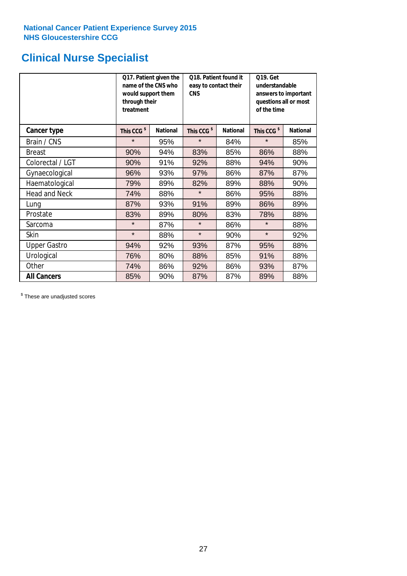# **Clinical Nurse Specialist**

|                      | would support them<br>through their<br>treatment | Q17. Patient given the<br>name of the CNS who | Q18. Patient found it<br>easy to contact their<br><b>CNS</b> |                 | <b>Q19. Get</b><br>understandable<br>answers to important<br>questions all or most<br>of the time |                 |  |
|----------------------|--------------------------------------------------|-----------------------------------------------|--------------------------------------------------------------|-----------------|---------------------------------------------------------------------------------------------------|-----------------|--|
| <b>Cancer type</b>   | This CCG <sup>\$</sup>                           | <b>National</b>                               | This CCG <sup>\$</sup>                                       | <b>National</b> | This CCG <sup>\$</sup>                                                                            | <b>National</b> |  |
| Brain / CNS          | $\star$                                          | 95%                                           | $\star$                                                      | 84%             | $\star$                                                                                           | 85%             |  |
| <b>Breast</b>        | 90%                                              | 94%                                           | 83%                                                          | 85%             | 86%                                                                                               | 88%             |  |
| Colorectal / LGT     | 90%                                              | 91%                                           | 92%                                                          | 88%             | 94%                                                                                               | 90%             |  |
| Gynaecological       | 96%                                              | 93%                                           | 97%                                                          | 86%             | 87%                                                                                               | 87%             |  |
| Haematological       | 79%                                              | 89%                                           | 82%                                                          | 89%             | 88%                                                                                               | 90%             |  |
| <b>Head and Neck</b> | 74%                                              | 88%                                           | $\star$                                                      | 86%             | 95%                                                                                               | 88%             |  |
| Lung                 | 87%                                              | 93%                                           | 91%                                                          | 89%             | 86%                                                                                               | 89%             |  |
| Prostate             | 83%                                              | 89%                                           | 80%                                                          | 83%             | 78%                                                                                               | 88%             |  |
| Sarcoma              | $\star$                                          | 87%                                           | $\star$                                                      | 86%             | $\star$                                                                                           | 88%             |  |
| Skin                 | $\star$                                          | 88%                                           | $\star$                                                      | 90%             | $\star$                                                                                           | 92%             |  |
| <b>Upper Gastro</b>  | 94%                                              | 92%                                           | 93%                                                          | 87%             | 95%                                                                                               | 88%             |  |
| Urological           | 76%                                              | 80%                                           | 88%                                                          | 85%             | 91%                                                                                               | 88%             |  |
| Other                | 74%                                              | 86%                                           | 92%                                                          | 86%             | 93%                                                                                               | 87%             |  |
| <b>All Cancers</b>   | 85%                                              | 90%                                           | 87%                                                          | 87%             | 89%                                                                                               | 88%             |  |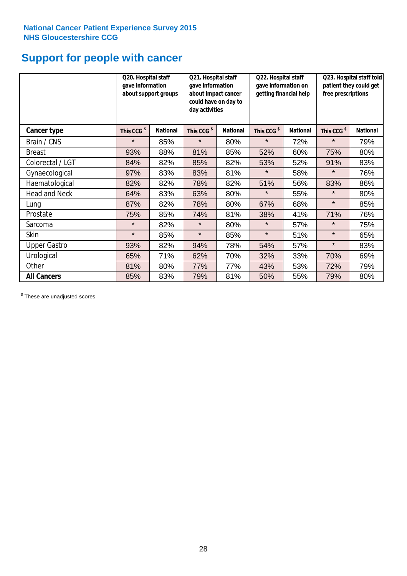### **Support for people with cancer**

|                     |                        | Q20. Hospital staff<br>gave information<br>about support groups |                        | Q21. Hospital staff<br>gave information<br>about impact cancer<br>could have on day to<br>day activities |                        | Q22. Hospital staff<br>gave information on<br>getting financial help |                        | Q23. Hospital staff told<br>patient they could get<br>free prescriptions |  |
|---------------------|------------------------|-----------------------------------------------------------------|------------------------|----------------------------------------------------------------------------------------------------------|------------------------|----------------------------------------------------------------------|------------------------|--------------------------------------------------------------------------|--|
| Cancer type         | This CCG <sup>\$</sup> | <b>National</b>                                                 | This CCG <sup>\$</sup> | <b>National</b>                                                                                          | This CCG <sup>\$</sup> | <b>National</b>                                                      | This CCG <sup>\$</sup> | <b>National</b>                                                          |  |
| Brain / CNS         | $\star$                | 85%                                                             | $\star$                | 80%                                                                                                      | $\star$                | 72%                                                                  | $\star$                | 79%                                                                      |  |
| <b>Breast</b>       | 93%                    | 88%                                                             | 81%                    | 85%                                                                                                      | 52%                    | 60%                                                                  | 75%                    | 80%                                                                      |  |
| Colorectal / LGT    | 84%                    | 82%                                                             | 85%                    | 82%                                                                                                      | 53%                    | 52%                                                                  | 91%                    | 83%                                                                      |  |
| Gynaecological      | 97%                    | 83%                                                             | 83%                    | 81%                                                                                                      | $\star$                | 58%                                                                  | $\star$                | 76%                                                                      |  |
| Haematological      | 82%                    | 82%                                                             | 78%                    | 82%                                                                                                      | 51%                    | 56%                                                                  | 83%                    | 86%                                                                      |  |
| Head and Neck       | 64%                    | 83%                                                             | 63%                    | 80%                                                                                                      | $\star$                | 55%                                                                  | $\star$                | 80%                                                                      |  |
| Lung                | 87%                    | 82%                                                             | 78%                    | 80%                                                                                                      | 67%                    | 68%                                                                  | $\star$                | 85%                                                                      |  |
| Prostate            | 75%                    | 85%                                                             | 74%                    | 81%                                                                                                      | 38%                    | 41%                                                                  | 71%                    | 76%                                                                      |  |
| Sarcoma             | $\star$                | 82%                                                             | $\star$                | 80%                                                                                                      | $\star$                | 57%                                                                  | $\star$                | 75%                                                                      |  |
| Skin                | $\star$                | 85%                                                             | $\star$                | 85%                                                                                                      | $\star$                | 51%                                                                  | $\star$                | 65%                                                                      |  |
| <b>Upper Gastro</b> | 93%                    | 82%                                                             | 94%                    | 78%                                                                                                      | 54%                    | 57%                                                                  | $\star$                | 83%                                                                      |  |
| Urological          | 65%                    | 71%                                                             | 62%                    | 70%                                                                                                      | 32%                    | 33%                                                                  | 70%                    | 69%                                                                      |  |
| Other               | 81%                    | 80%                                                             | 77%                    | 77%                                                                                                      | 43%                    | 53%                                                                  | 72%                    | 79%                                                                      |  |
| <b>All Cancers</b>  | 85%                    | 83%                                                             | 79%                    | 81%                                                                                                      | 50%                    | 55%                                                                  | 79%                    | 80%                                                                      |  |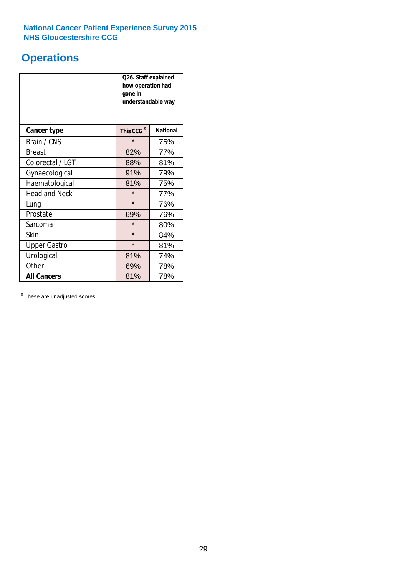### **Operations**

|                      | Q26. Staff explained<br>how operation had<br>gone in<br>understandable way |                 |  |  |
|----------------------|----------------------------------------------------------------------------|-----------------|--|--|
| <b>Cancer type</b>   | This CCG <sup>\$</sup>                                                     | <b>National</b> |  |  |
| Brain / CNS          | $\star$                                                                    | 75%             |  |  |
| <b>Breast</b>        | 82%                                                                        | 77%             |  |  |
| Colorectal / LGT     | 88%                                                                        | 81%             |  |  |
| Gynaecological       | 91%                                                                        | 79%             |  |  |
| Haematological       | 81%                                                                        | 75%             |  |  |
| <b>Head and Neck</b> | $\star$                                                                    | 77%             |  |  |
| Lung                 | $\star$                                                                    | 76%             |  |  |
| Prostate             | 69%                                                                        | 76%             |  |  |
| Sarcoma              | $\star$                                                                    | 80%             |  |  |
| Skin                 | $\star$                                                                    | 84%             |  |  |
| <b>Upper Gastro</b>  | $\star$                                                                    | 81%             |  |  |
| Urological           | 81%                                                                        | 74%             |  |  |
| Other                | 69%                                                                        | 78%             |  |  |
| <b>All Cancers</b>   | 81%                                                                        | 78%             |  |  |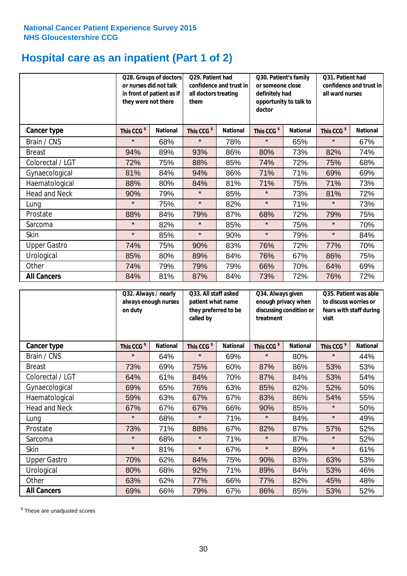# **Hospital care as an inpatient (Part 1 of 2)**

|                      |                        | Q28. Groups of doctors<br>or nurses did not talk<br>in front of patient as if<br>they were not there |                        | Q29. Patient had<br>confidence and trust in<br>all doctors treating<br>them |                        | Q30. Patient's family<br>or someone close<br>definitely had<br>opportunity to talk to<br>doctor |                        | Q31. Patient had<br>confidence and trust in I<br>all ward nurses |  |
|----------------------|------------------------|------------------------------------------------------------------------------------------------------|------------------------|-----------------------------------------------------------------------------|------------------------|-------------------------------------------------------------------------------------------------|------------------------|------------------------------------------------------------------|--|
| <b>Cancer type</b>   | This CCG <sup>\$</sup> | <b>National</b>                                                                                      | This CCG <sup>\$</sup> | <b>National</b>                                                             | This CCG <sup>\$</sup> | <b>National</b>                                                                                 | This CCG <sup>\$</sup> | <b>National</b>                                                  |  |
| Brain / CNS          | $\star$                | 68%                                                                                                  | $\star$                | 78%                                                                         | $\star$                | 65%                                                                                             | $\star$                | 67%                                                              |  |
| <b>Breast</b>        | 94%                    | 89%                                                                                                  | 93%                    | 86%                                                                         | 80%                    | 73%                                                                                             | 82%                    | 74%                                                              |  |
| Colorectal / LGT     | 72%                    | 75%                                                                                                  | 88%                    | 85%                                                                         | 74%                    | 72%                                                                                             | 75%                    | 68%                                                              |  |
| Gynaecological       | 81%                    | 84%                                                                                                  | 94%                    | 86%                                                                         | 71%                    | 71%                                                                                             | 69%                    | 69%                                                              |  |
| Haematological       | 88%                    | 80%                                                                                                  | 84%                    | 81%                                                                         | 71%                    | 75%                                                                                             | 71%                    | 73%                                                              |  |
| <b>Head and Neck</b> | 90%                    | 79%                                                                                                  | $\star$                | 85%                                                                         | $\star$                | 73%                                                                                             | 81%                    | 72%                                                              |  |
| Lung                 | $\star$                | 75%                                                                                                  | $\star$                | 82%                                                                         | $\star$                | 71%                                                                                             | $\star$                | 73%                                                              |  |
| Prostate             | 88%                    | 84%                                                                                                  | 79%                    | 87%                                                                         | 68%                    | 72%                                                                                             | 79%                    | 75%                                                              |  |
| Sarcoma              | $\star$                | 82%                                                                                                  | $\star$                | 85%                                                                         | $\star$                | 75%                                                                                             | $\star$                | 70%                                                              |  |
| Skin                 | $\star$                | 85%                                                                                                  | $\star$                | 90%                                                                         | $\star$                | 79%                                                                                             | $\star$                | 84%                                                              |  |
| <b>Upper Gastro</b>  | 74%                    | 75%                                                                                                  | 90%                    | 83%                                                                         | 76%                    | 72%                                                                                             | 77%                    | 70%                                                              |  |
| Urological           | 85%                    | 80%                                                                                                  | 89%                    | 84%                                                                         | 76%                    | 67%                                                                                             | 86%                    | 75%                                                              |  |
| Other                | 74%                    | 79%                                                                                                  | 79%                    | 79%                                                                         | 66%                    | 70%                                                                                             | 64%                    | 69%                                                              |  |
| <b>All Cancers</b>   | 84%                    | 81%                                                                                                  | 87%                    | 84%                                                                         | 73%                    | 72%                                                                                             | 76%                    | 72%                                                              |  |

|                      | Q32. Always / nearly<br>always enough nurses<br>on duty |                 | Q33. All staff asked<br>patient what name<br>they preferred to be<br>called by |                 | Q34. Always given<br>enough privacy when<br>discussing condition or<br>treatment |                 | Q35. Patient was able<br>to discuss worries or<br>fears with staff during<br>visit |                 |
|----------------------|---------------------------------------------------------|-----------------|--------------------------------------------------------------------------------|-----------------|----------------------------------------------------------------------------------|-----------------|------------------------------------------------------------------------------------|-----------------|
| <b>Cancer type</b>   | This CCG <sup>\$</sup>                                  | <b>National</b> | This CCG <sup>\$</sup>                                                         | <b>National</b> | This CCG <sup>\$</sup>                                                           | <b>National</b> | This CCG <sup>\$</sup>                                                             | <b>National</b> |
| Brain / CNS          | $\star$                                                 | 64%             | $\star$                                                                        | 69%             | $\star$                                                                          | 80%             | $\star$                                                                            | 44%             |
| <b>Breast</b>        | 73%                                                     | 69%             | 75%                                                                            | 60%             | 87%                                                                              | 86%             | 53%                                                                                | 53%             |
| Colorectal / LGT     | 64%                                                     | 61%             | 84%                                                                            | 70%             | 87%                                                                              | 84%             | 53%                                                                                | 54%             |
| Gynaecological       | 69%                                                     | 65%             | 76%                                                                            | 63%             | 85%                                                                              | 82%             | 52%                                                                                | 50%             |
| Haematological       | 59%                                                     | 63%             | 67%                                                                            | 67%             | 83%                                                                              | 86%             | 54%                                                                                | 55%             |
| <b>Head and Neck</b> | 67%                                                     | 67%             | 67%                                                                            | 66%             | 90%                                                                              | 85%             | $\star$                                                                            | 50%             |
| Lung                 | $\star$                                                 | 68%             | $\star$                                                                        | 71%             | $\star$                                                                          | 84%             | $\star$                                                                            | 49%             |
| Prostate             | 73%                                                     | 71%             | 88%                                                                            | 67%             | 82%                                                                              | 87%             | 57%                                                                                | 52%             |
| Sarcoma              | $\star$                                                 | 68%             | $\star$                                                                        | 71%             | $\star$                                                                          | 87%             | $\star$                                                                            | 52%             |
| Skin                 | $\star$                                                 | 81%             | $\star$                                                                        | 67%             | $\star$                                                                          | 89%             | $\star$                                                                            | 61%             |
| <b>Upper Gastro</b>  | 70%                                                     | 62%             | 84%                                                                            | 75%             | 90%                                                                              | 83%             | 63%                                                                                | 53%             |
| Urological           | 80%                                                     | 68%             | 92%                                                                            | 71%             | 89%                                                                              | 84%             | 53%                                                                                | 46%             |
| Other                | 63%                                                     | 62%             | 77%                                                                            | 66%             | 77%                                                                              | 82%             | 45%                                                                                | 48%             |
| <b>All Cancers</b>   | 69%                                                     | 66%             | 79%                                                                            | 67%             | 86%                                                                              | 85%             | 53%                                                                                | 52%             |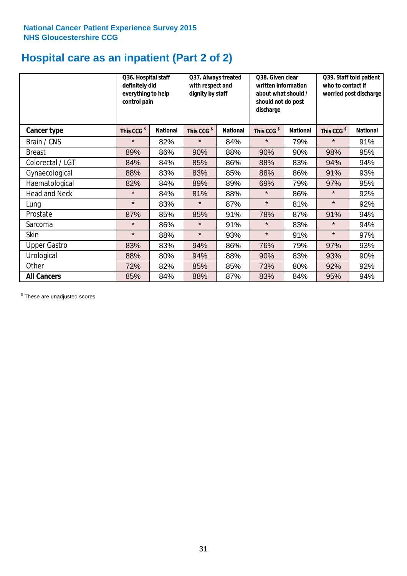# **Hospital care as an inpatient (Part 2 of 2)**

|                      | Q36. Hospital staff<br>definitely did<br>everything to help<br>control pain |                 | Q37. Always treated<br>with respect and<br>dignity by staff |                 | Q38. Given clear<br>written information<br>about what should /<br>should not do post<br>discharge |                 | Q39. Staff told patient<br>who to contact if<br>worried post discharge |                 |
|----------------------|-----------------------------------------------------------------------------|-----------------|-------------------------------------------------------------|-----------------|---------------------------------------------------------------------------------------------------|-----------------|------------------------------------------------------------------------|-----------------|
| Cancer type          | This CCG <sup>\$</sup>                                                      | <b>National</b> | This CCG <sup>\$</sup>                                      | <b>National</b> | This CCG <sup>\$</sup>                                                                            | <b>National</b> | This CCG <sup>\$</sup>                                                 | <b>National</b> |
| Brain / CNS          | $\star$                                                                     | 82%             | $\star$                                                     | 84%             | $\star$                                                                                           | 79%             | $\star$                                                                | 91%             |
| <b>Breast</b>        | 89%                                                                         | 86%             | 90%                                                         | 88%             | 90%                                                                                               | 90%             | 98%                                                                    | 95%             |
| Colorectal / LGT     | 84%                                                                         | 84%             | 85%                                                         | 86%             | 88%                                                                                               | 83%             | 94%                                                                    | 94%             |
| Gynaecological       | 88%                                                                         | 83%             | 83%                                                         | 85%             | 88%                                                                                               | 86%             | 91%                                                                    | 93%             |
| Haematological       | 82%                                                                         | 84%             | 89%                                                         | 89%             | 69%                                                                                               | 79%             | 97%                                                                    | 95%             |
| <b>Head and Neck</b> | $\star$                                                                     | 84%             | 81%                                                         | 88%             | $\star$                                                                                           | 86%             | $\star$                                                                | 92%             |
| Lung                 | $\star$                                                                     | 83%             | $\star$                                                     | 87%             | $\star$                                                                                           | 81%             | $\star$                                                                | 92%             |
| Prostate             | 87%                                                                         | 85%             | 85%                                                         | 91%             | 78%                                                                                               | 87%             | 91%                                                                    | 94%             |
| Sarcoma              | $\star$                                                                     | 86%             | $\star$                                                     | 91%             | $\star$                                                                                           | 83%             | $\star$                                                                | 94%             |
| Skin                 | $\star$                                                                     | 88%             | $\star$                                                     | 93%             | $\star$                                                                                           | 91%             | $\star$                                                                | 97%             |
| <b>Upper Gastro</b>  | 83%                                                                         | 83%             | 94%                                                         | 86%             | 76%                                                                                               | 79%             | 97%                                                                    | 93%             |
| Urological           | 88%                                                                         | 80%             | 94%                                                         | 88%             | 90%                                                                                               | 83%             | 93%                                                                    | 90%             |
| Other                | 72%                                                                         | 82%             | 85%                                                         | 85%             | 73%                                                                                               | 80%             | 92%                                                                    | 92%             |
| <b>All Cancers</b>   | 85%                                                                         | 84%             | 88%                                                         | 87%             | 83%                                                                                               | 84%             | 95%                                                                    | 94%             |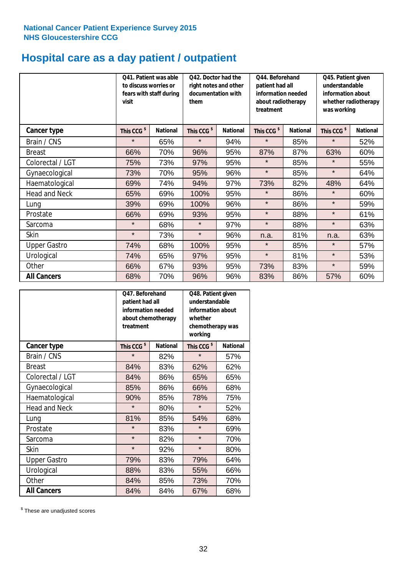# **Hospital care as a day patient / outpatient**

|                      | to discuss worries or<br>visit | Q41. Patient was able<br>fears with staff during | Q42. Doctor had the<br>right notes and other<br>documentation with<br>them |                 | Q44. Beforehand<br>patient had all<br>information needed<br>about radiotherapy<br>treatment |                 | Q45. Patient given<br>understandable<br>information about<br>whether radiotherapy<br>was working |                 |
|----------------------|--------------------------------|--------------------------------------------------|----------------------------------------------------------------------------|-----------------|---------------------------------------------------------------------------------------------|-----------------|--------------------------------------------------------------------------------------------------|-----------------|
| <b>Cancer type</b>   | This CCG <sup>\$</sup>         | <b>National</b>                                  | This CCG <sup>\$</sup>                                                     | <b>National</b> | This CCG <sup>\$</sup>                                                                      | <b>National</b> | This CCG <sup>\$</sup>                                                                           | <b>National</b> |
| Brain / CNS          | $\star$                        | 65%                                              | $\star$                                                                    | 94%             | $\star$                                                                                     | 85%             | $\star$                                                                                          | 52%             |
| <b>Breast</b>        | 66%                            | 70%                                              | 96%                                                                        | 95%             | 87%                                                                                         | 87%             | 63%                                                                                              | 60%             |
| Colorectal / LGT     | 75%                            | 73%                                              | 97%                                                                        | 95%             | $\star$                                                                                     | 85%             | $\star$                                                                                          | 55%             |
| Gynaecological       | 73%                            | 70%                                              | 95%                                                                        | 96%             | $\star$                                                                                     | 85%             | $\star$                                                                                          | 64%             |
| Haematological       | 69%                            | 74%                                              | 94%                                                                        | 97%             | 73%                                                                                         | 82%             | 48%                                                                                              | 64%             |
| <b>Head and Neck</b> | 65%                            | 69%                                              | 100%                                                                       | 95%             | $\star$                                                                                     | 86%             | $\star$                                                                                          | 60%             |
| Lung                 | 39%                            | 69%                                              | 100%                                                                       | 96%             | $\star$                                                                                     | 86%             | $\star$                                                                                          | 59%             |
| Prostate             | 66%                            | 69%                                              | 93%                                                                        | 95%             | $\star$                                                                                     | 88%             | $\star$                                                                                          | 61%             |
| Sarcoma              | $\star$                        | 68%                                              | $\star$                                                                    | 97%             | $\star$                                                                                     | 88%             | $\star$                                                                                          | 63%             |
| Skin                 | $\star$                        | 73%                                              | $\star$                                                                    | 96%             | n.a.                                                                                        | 81%             | n.a.                                                                                             | 63%             |
| <b>Upper Gastro</b>  | 74%                            | 68%                                              | 100%                                                                       | 95%             | $\star$                                                                                     | 85%             | $\star$                                                                                          | 57%             |
| Urological           | 74%                            | 65%                                              | 97%                                                                        | 95%             | $\star$                                                                                     | 81%             | $\star$                                                                                          | 53%             |
| Other                | 66%                            | 67%                                              | 93%                                                                        | 95%             | 73%                                                                                         | 83%             | $\star$                                                                                          | 59%             |
| <b>All Cancers</b>   | 68%                            | 70%                                              | 96%                                                                        | 96%             | 83%                                                                                         | 86%             | 57%                                                                                              | 60%             |

|                      | O47. Beforehand<br>patient had all<br>information needed<br>about chemotherapy<br>treatment |                 | Q48. Patient given<br>understandable<br>information about<br>whether<br>chemotherapy was<br>working |                 |  |
|----------------------|---------------------------------------------------------------------------------------------|-----------------|-----------------------------------------------------------------------------------------------------|-----------------|--|
| <b>Cancer type</b>   | This CCG <sup>\$</sup>                                                                      | <b>National</b> | This CCG <sup>\$</sup>                                                                              | <b>National</b> |  |
| Brain / CNS          | $\star$                                                                                     | 82%             | $\star$                                                                                             | 57%             |  |
| <b>Breast</b>        | 84%                                                                                         | 83%             | 62%                                                                                                 | 62%             |  |
| Colorectal / LGT     | 84%                                                                                         | 86%             | 65%                                                                                                 | 65%             |  |
| Gynaecological       | 85%                                                                                         | 86%             | 66%                                                                                                 | 68%             |  |
| Haematological       | 90%                                                                                         | 85%             | 78%                                                                                                 | 75%             |  |
| <b>Head and Neck</b> | $\star$                                                                                     | 80%             | $\star$                                                                                             | 52%             |  |
| Lung                 | 81%                                                                                         | 85%             | 54%                                                                                                 | 68%             |  |
| Prostate             | $\star$                                                                                     | 83%             | $\star$                                                                                             | 69%             |  |
| Sarcoma              | $\star$                                                                                     | 82%             | $\star$                                                                                             | 70%             |  |
| Skin                 | $\star$                                                                                     | 92%             | $\star$                                                                                             | 80%             |  |
| <b>Upper Gastro</b>  | 79%                                                                                         | 83%             | 79%                                                                                                 | 64%             |  |
| Urological           | 88%                                                                                         | 83%             | 55%                                                                                                 | 66%             |  |
| Other                | 84%                                                                                         | 85%             | 73%                                                                                                 | 70%             |  |
| <b>All Cancers</b>   | 84%                                                                                         | 84%             | 67%                                                                                                 | 68%             |  |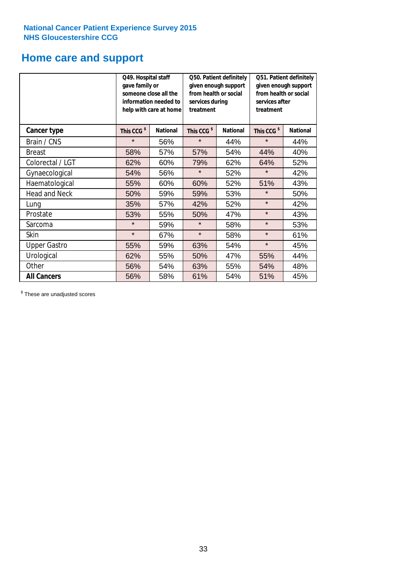### **Home care and support**

|                      | Q49. Hospital staff<br>gave family or | someone close all the<br>information needed to<br>help with care at home | Q50. Patient definitely<br>given enough support<br>from health or social<br>services during<br>treatment |                        | Q51. Patient definitely<br>given enough support<br>from health or social<br>services after<br>treatment |     |
|----------------------|---------------------------------------|--------------------------------------------------------------------------|----------------------------------------------------------------------------------------------------------|------------------------|---------------------------------------------------------------------------------------------------------|-----|
| <b>Cancer type</b>   | This CCG <sup>\$</sup>                | <b>National</b><br>This CCG <sup>\$</sup><br><b>National</b>             |                                                                                                          | This CCG <sup>\$</sup> | <b>National</b>                                                                                         |     |
| Brain / CNS          | $\star$                               | 56%                                                                      | $\star$                                                                                                  | 44%                    | $\star$                                                                                                 | 44% |
| <b>Breast</b>        | 58%                                   | 57%                                                                      | 57%                                                                                                      | 54%                    | 44%                                                                                                     | 40% |
| Colorectal / LGT     | 62%                                   | 60%                                                                      | 79%                                                                                                      | 62%                    | 64%                                                                                                     | 52% |
| Gynaecological       | 54%                                   | 56%                                                                      | $\star$                                                                                                  | 52%                    | $\star$                                                                                                 | 42% |
| Haematological       | 55%                                   | 60%                                                                      | 60%                                                                                                      | 52%                    | 51%                                                                                                     | 43% |
| <b>Head and Neck</b> | 50%                                   | 59%                                                                      | 59%                                                                                                      | 53%                    | $\star$                                                                                                 | 50% |
| Lung                 | 35%                                   | 57%                                                                      | 42%                                                                                                      | 52%                    | $\star$                                                                                                 | 42% |
| Prostate             | 53%                                   | 55%                                                                      | 50%                                                                                                      | 47%                    | $\star$                                                                                                 | 43% |
| Sarcoma              | $\star$                               | 59%                                                                      | $\star$                                                                                                  | 58%                    | $\star$                                                                                                 | 53% |
| Skin                 | $\star$                               | 67%                                                                      | $\star$                                                                                                  | 58%                    | $\star$                                                                                                 | 61% |
| <b>Upper Gastro</b>  | 55%                                   | 59%                                                                      | 63%                                                                                                      | 54%                    | $\star$                                                                                                 | 45% |
| Urological           | 62%                                   | 55%                                                                      | 50%                                                                                                      | 47%                    | 55%                                                                                                     | 44% |
| Other                | 56%                                   | 54%                                                                      | 63%                                                                                                      | 55%                    | 54%                                                                                                     | 48% |
| <b>All Cancers</b>   | 56%                                   | 58%                                                                      | 61%                                                                                                      | 54%                    | 51%                                                                                                     | 45% |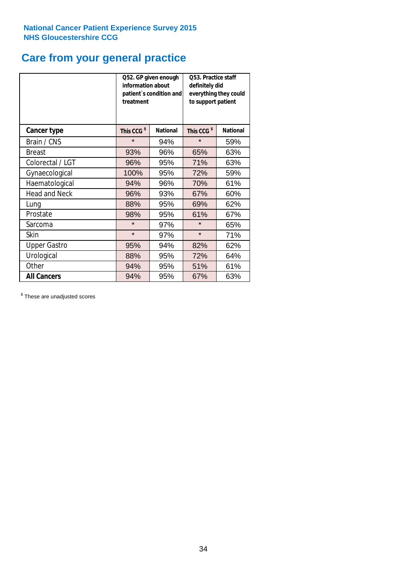### **Care from your general practice**

|                      | information about<br>treatment | Q52. GP given enough<br>patient's condition and | Q53. Practice staff<br>definitely did<br>everything they could<br>to support patient |                 |  |
|----------------------|--------------------------------|-------------------------------------------------|--------------------------------------------------------------------------------------|-----------------|--|
| <b>Cancer type</b>   | This CCG <sup>\$</sup>         | <b>National</b>                                 | This CCG <sup>\$</sup>                                                               | <b>National</b> |  |
| Brain / CNS          | $\star$                        | 94%                                             | $\star$                                                                              | 59%             |  |
| <b>Breast</b>        | 93%                            | 96%                                             | 65%                                                                                  | 63%             |  |
| Colorectal / LGT     | 96%                            | 95%                                             | 71%                                                                                  | 63%             |  |
| Gynaecological       | 100%                           | 95%                                             | 72%                                                                                  | 59%             |  |
| Haematological       | 94%                            | 96%                                             | 70%                                                                                  | 61%             |  |
| <b>Head and Neck</b> | 96%                            | 93%                                             | 67%                                                                                  | 60%             |  |
| Lung                 | 88%                            | 95%                                             | 69%                                                                                  | 62%             |  |
| Prostate             | 98%                            | 95%                                             | 61%                                                                                  | 67%             |  |
| Sarcoma              | $\star$                        | 97%                                             | $\star$                                                                              | 65%             |  |
| <b>Skin</b>          | $\star$                        | 97%                                             | $\star$                                                                              | 71%             |  |
| <b>Upper Gastro</b>  | 95%                            | 94%                                             | 82%                                                                                  | 62%             |  |
| Urological           | 88%                            | 95%                                             | 72%                                                                                  | 64%             |  |
| Other                | 94%                            | 95%                                             | 51%                                                                                  | 61%             |  |
| <b>All Cancers</b>   | 94%                            | 95%                                             | 67%                                                                                  | 63%             |  |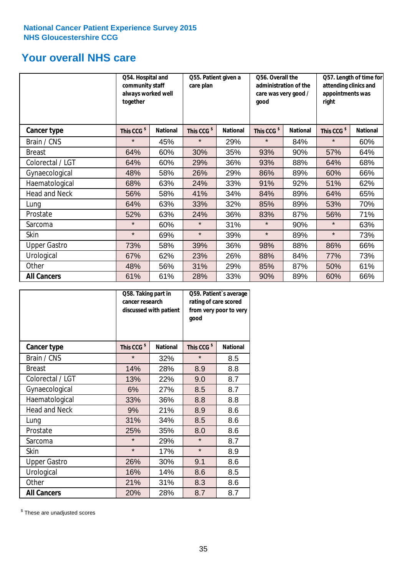### **Your overall NHS care**

|                     | Q54. Hospital and<br>community staff<br>always worked well<br>together |                 | Q55. Patient given a<br>care plan |                 | Q56. Overall the<br>administration of the<br>care was very good /<br>qood |                 | Q57. Length of time for<br>attending clinics and<br>appointments was<br>right |                 |
|---------------------|------------------------------------------------------------------------|-----------------|-----------------------------------|-----------------|---------------------------------------------------------------------------|-----------------|-------------------------------------------------------------------------------|-----------------|
| Cancer type         | This CCG <sup>\$</sup>                                                 | <b>National</b> | This CCG <sup>\$</sup>            | <b>National</b> | This CCG <sup>\$</sup>                                                    | <b>National</b> | This CCG <sup>\$</sup>                                                        | <b>National</b> |
| Brain / CNS         | $\star$                                                                | 45%             | $\star$                           | 29%             | $\star$                                                                   | 84%             | $\star$                                                                       | 60%             |
| <b>Breast</b>       | 64%                                                                    | 60%             | 30%                               | 35%             | 93%                                                                       | 90%             | 57%                                                                           | 64%             |
| Colorectal / LGT    | 64%                                                                    | 60%             | 29%                               | 36%             | 93%                                                                       | 88%             | 64%                                                                           | 68%             |
| Gynaecological      | 48%                                                                    | 58%             | 26%                               | 29%             | 86%                                                                       | 89%             | 60%                                                                           | 66%             |
| Haematological      | 68%                                                                    | 63%             | 24%                               | 33%             | 91%                                                                       | 92%             | 51%                                                                           | 62%             |
| Head and Neck       | 56%                                                                    | 58%             | 41%                               | 34%             | 84%                                                                       | 89%             | 64%                                                                           | 65%             |
| Lung                | 64%                                                                    | 63%             | 33%                               | 32%             | 85%                                                                       | 89%             | 53%                                                                           | 70%             |
| Prostate            | 52%                                                                    | 63%             | 24%                               | 36%             | 83%                                                                       | 87%             | 56%                                                                           | 71%             |
| Sarcoma             | $\star$                                                                | 60%             | $\star$                           | 31%             | $\star$                                                                   | 90%             | $\star$                                                                       | 63%             |
| Skin                | $\star$                                                                | 69%             | $\star$                           | 39%             | $\star$                                                                   | 89%             | $\star$                                                                       | 73%             |
| <b>Upper Gastro</b> | 73%                                                                    | 58%             | 39%                               | 36%             | 98%                                                                       | 88%             | 86%                                                                           | 66%             |
| Urological          | 67%                                                                    | 62%             | 23%                               | 26%             | 88%                                                                       | 84%             | 77%                                                                           | 73%             |
| Other               | 48%                                                                    | 56%             | 31%                               | 29%             | 85%                                                                       | 87%             | 50%                                                                           | 61%             |
| <b>All Cancers</b>  | 61%                                                                    | 61%             | 28%                               | 33%             | 90%                                                                       | 89%             | 60%                                                                           | 66%             |

|                      | Q58. Taking part in<br>cancer research | discussed with patient | Q59. Patient's average<br>rating of care scored<br>from very poor to very<br>good |                 |  |
|----------------------|----------------------------------------|------------------------|-----------------------------------------------------------------------------------|-----------------|--|
| <b>Cancer type</b>   | This CCG <sup>\$</sup>                 | <b>National</b>        | This CCG <sup>\$</sup>                                                            | <b>National</b> |  |
| Brain / CNS          | $\star$                                | 32%                    | $\star$                                                                           | 8.5             |  |
| <b>Breast</b>        | 14%                                    | 28%                    | 8.9                                                                               | 8.8             |  |
| Colorectal / LGT     | 13%                                    | 22%                    | 9.0                                                                               | 8.7             |  |
| Gynaecological       | 6%                                     | 27%                    | 8.5                                                                               | 8.7             |  |
| Haematological       | 33%                                    | 36%                    | 8.8                                                                               | 8.8             |  |
| <b>Head and Neck</b> | 9%                                     | 21%                    | 8.9                                                                               | 8.6             |  |
| Lung                 | 31%                                    | 34%                    | 8.5                                                                               | 8.6             |  |
| Prostate             | 25%                                    | 35%                    | 8.0                                                                               | 8.6             |  |
| Sarcoma              | $\star$                                | 29%                    | $\star$                                                                           | 8.7             |  |
| Skin                 | $\star$                                | 17%                    | $\star$                                                                           | 8.9             |  |
| <b>Upper Gastro</b>  | 26%                                    | 30%                    | 9.1                                                                               | 8.6             |  |
| Urological           | 16%                                    | 14%                    | 8.6                                                                               | 8.5             |  |
| Other                | 21%                                    | 31%                    | 8.3                                                                               | 8.6             |  |
| <b>All Cancers</b>   | 20%                                    | 28%                    | 8.7                                                                               | 8.7             |  |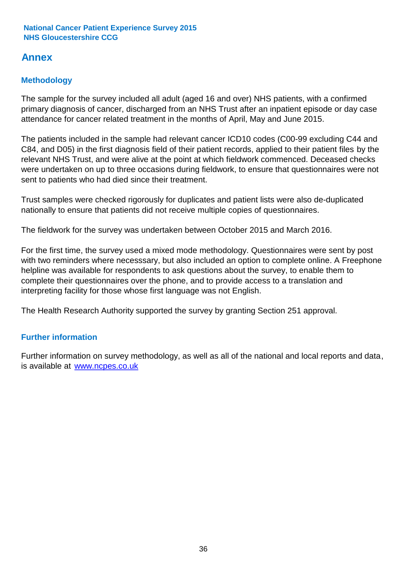### **Annex**

### **Methodology**

The sample for the survey included all adult (aged 16 and over) NHS patients, with a confirmed primary diagnosis of cancer, discharged from an NHS Trust after an inpatient episode or day case attendance for cancer related treatment in the months of April, May and June 2015.

The patients included in the sample had relevant cancer ICD10 codes (C00-99 excluding C44 and C84, and D05) in the first diagnosis field of their patient records, applied to their patient files by the relevant NHS Trust, and were alive at the point at which fieldwork commenced. Deceased checks were undertaken on up to three occasions during fieldwork, to ensure that questionnaires were not sent to patients who had died since their treatment.

Trust samples were checked rigorously for duplicates and patient lists were also de-duplicated nationally to ensure that patients did not receive multiple copies of questionnaires.

The fieldwork for the survey was undertaken between October 2015 and March 2016.

For the first time, the survey used a mixed mode methodology. Questionnaires were sent by post with two reminders where necesssary, but also included an option to complete online. A Freephone helpline was available for respondents to ask questions about the survey, to enable them to complete their questionnaires over the phone, and to provide access to a translation and interpreting facility for those whose first language was not English.

The Health Research Authority supported the survey by granting Section 251 approval.

#### **Further information**

Further information on survey methodology, as well as all of the national and local reports and data, is available at www.ncpes.co.uk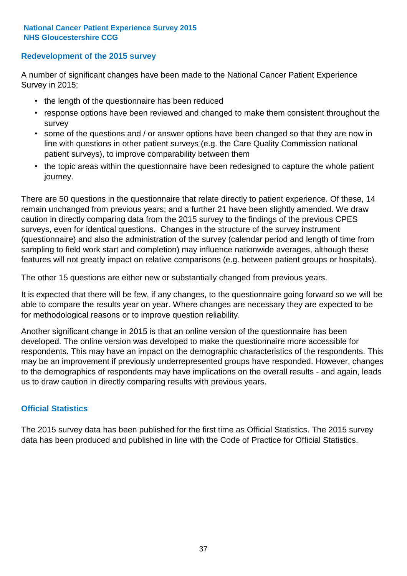#### **Redevelopment of the 2015 survey**

A number of significant changes have been made to the National Cancer Patient Experience Survey in 2015:

- the length of the questionnaire has been reduced
- response options have been reviewed and changed to make them consistent throughout the survey
- some of the questions and / or answer options have been changed so that they are now in line with questions in other patient surveys (e.g. the Care Quality Commission national patient surveys), to improve comparability between them
- the topic areas within the questionnaire have been redesigned to capture the whole patient journey.

There are 50 questions in the questionnaire that relate directly to patient experience. Of these, 14 remain unchanged from previous years; and a further 21 have been slightly amended. We draw caution in directly comparing data from the 2015 survey to the findings of the previous CPES surveys, even for identical questions. Changes in the structure of the survey instrument (questionnaire) and also the administration of the survey (calendar period and length of time from sampling to field work start and completion) may influence nationwide averages, although these features will not greatly impact on relative comparisons (e.g. between patient groups or hospitals).

The other 15 questions are either new or substantially changed from previous years.

It is expected that there will be few, if any changes, to the questionnaire going forward so we will be able to compare the results year on year. Where changes are necessary they are expected to be for methodological reasons or to improve question reliability.

Another significant change in 2015 is that an online version of the questionnaire has been developed. The online version was developed to make the questionnaire more accessible for respondents. This may have an impact on the demographic characteristics of the respondents. This may be an improvement if previously underrepresented groups have responded. However, changes to the demographics of respondents may have implications on the overall results - and again, leads us to draw caution in directly comparing results with previous years.

#### **Official Statistics**

The 2015 survey data has been published for the first time as Official Statistics. The 2015 survey data has been produced and published in line with the Code of Practice for Official Statistics.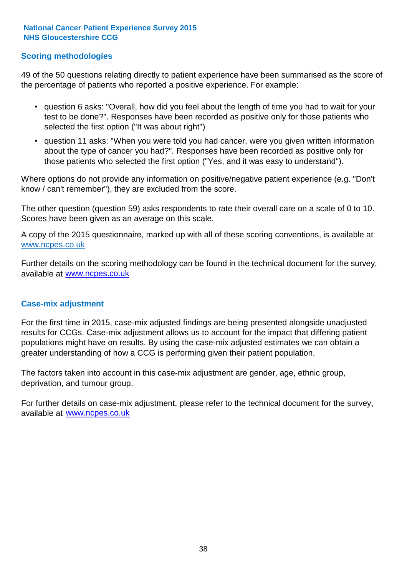#### **Scoring methodologies**

49 of the 50 questions relating directly to patient experience have been summarised as the score of the percentage of patients who reported a positive experience. For example:

- question 6 asks: "Overall, how did you feel about the length of time you had to wait for your test to be done?". Responses have been recorded as positive only for those patients who selected the first option ("It was about right")
- question 11 asks: "When you were told you had cancer, were you given written information about the type of cancer you had?". Responses have been recorded as positive only for those patients who selected the first option ("Yes, and it was easy to understand").

Where options do not provide any information on positive/negative patient experience (e.g. "Don't know / can't remember"), they are excluded from the score.

The other question (question 59) asks respondents to rate their overall care on a scale of 0 to 10. Scores have been given as an average on this scale.

A copy of the 2015 questionnaire, marked up with all of these scoring conventions, is available at www.ncpes.co.uk

Further details on the scoring methodology can be found in the technical document for the survey, available at <u>www.ncpes.co.uk</u>

#### **Case-mix adjustment**

For the first time in 2015, case-mix adjusted findings are being presented alongside unadjusted results for CCGs. Case-mix adjustment allows us to account for the impact that differing patient populations might have on results. By using the case-mix adjusted estimates we can obtain a greater understanding of how a CCG is performing given their patient population.

The factors taken into account in this case-mix adjustment are gender, age, ethnic group, deprivation, and tumour group.

For further details on case-mix adjustment, please refer to the technical document for the survey, available at www.ncpes.co.uk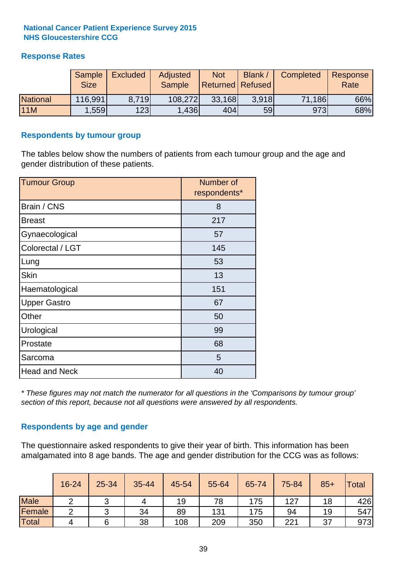#### **Response Rates**

|                 | <b>Sample</b><br><b>Size</b> | <b>Excluded</b> | Adjusted<br><b>Sample</b> | <b>Not</b><br><b>Returned Refused</b> | Blank | Completed | Response<br>Rate |
|-----------------|------------------------------|-----------------|---------------------------|---------------------------------------|-------|-----------|------------------|
| <b>National</b> | 116,991                      | 8.719           | 108,272                   | 33,168                                | 3.918 | 71,186    | 66%              |
| <b>11M</b>      | ,559                         | 123             | 1,436                     | 404                                   | 59    | 973       | 68%              |

#### **Respondents by tumour group**

The tables below show the numbers of patients from each tumour group and the age and gender distribution of these patients.

| <b>Tumour Group</b>  | Number of<br>respondents* |
|----------------------|---------------------------|
| Brain / CNS          | 8                         |
| <b>Breast</b>        | 217                       |
| Gynaecological       | 57                        |
| Colorectal / LGT     | 145                       |
| Lung                 | 53                        |
| <b>Skin</b>          | 13                        |
| Haematological       | 151                       |
| <b>Upper Gastro</b>  | 67                        |
| Other                | 50                        |
| Urological           | 99                        |
| Prostate             | 68                        |
| Sarcoma              | 5                         |
| <b>Head and Neck</b> | 40                        |

*\* These figures may not match the numerator for all questions in the 'Comparisons by tumour group' section of this report, because not all questions were answered by all respondents.*

#### **Respondents by age and gender**

The questionnaire asked respondents to give their year of birth. This information has been amalgamated into 8 age bands. The age and gender distribution for the CCG was as follows:

|             | 16-24 | 25-34 | 35-44 | 45-54 | 55-64 | 65-74 | 75-84 | $85+$ | Total |
|-------------|-------|-------|-------|-------|-------|-------|-------|-------|-------|
| <b>Male</b> |       | ັ     | 4     | 19    | 78    | 175   | 127   | 18    | 426   |
| Female      | ◠     | ັ     | 34    | 89    | 131   | 175   | 94    | 19    | 547   |
| Total       | 4     | 6     | 38    | 108   | 209   | 350   | 221   | 37    | 973   |